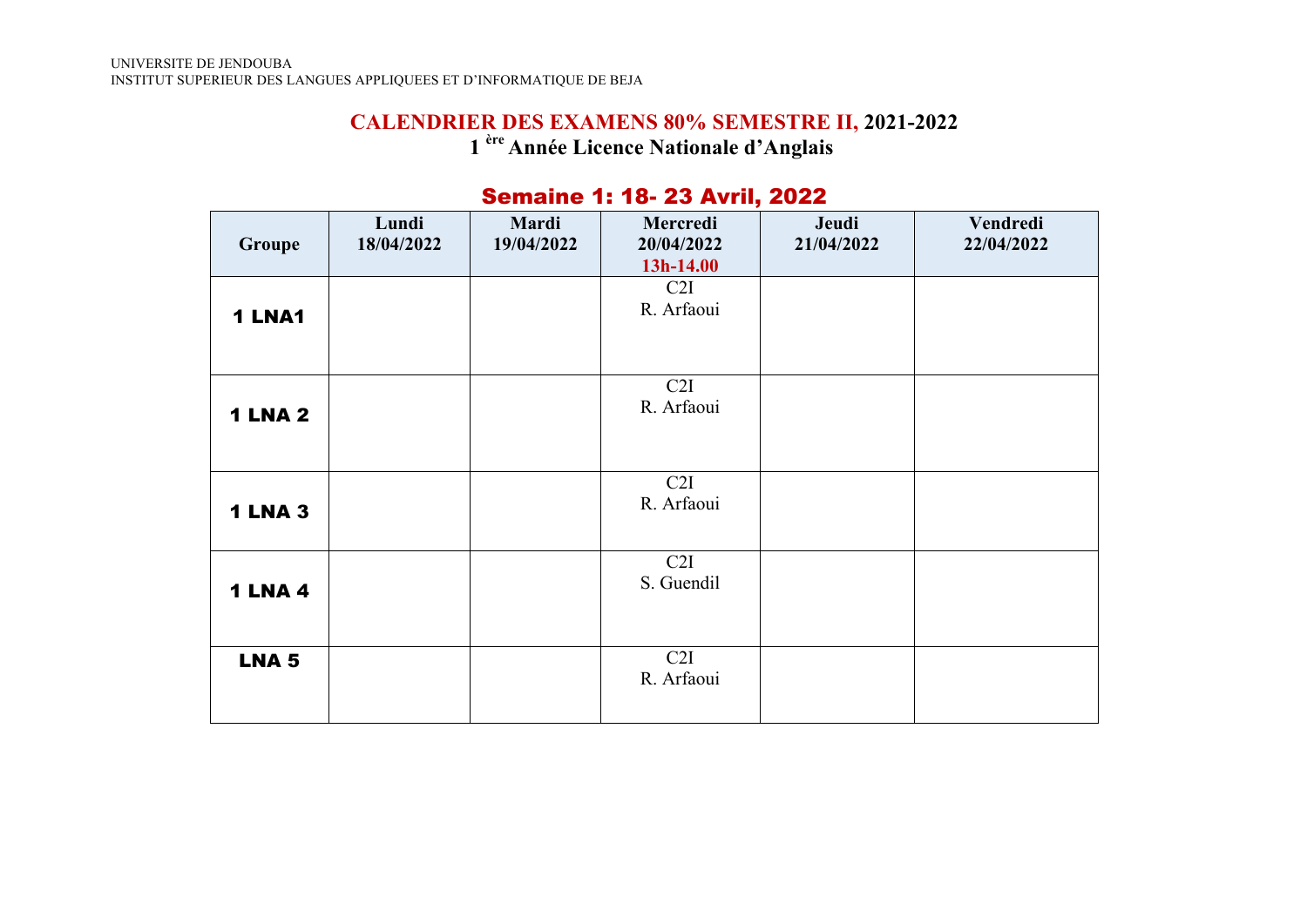# **CALENDRIER DES EXAMENS 80% SEMESTRE II, 2021-2022 1 ère Année Licence Nationale d'Anglais**

| Groupe         | Lundi<br>18/04/2022 | Mardi<br>19/04/2022 | Mercredi<br>20/04/2022<br>13h-14.00 | Jeudi<br>21/04/2022 | Vendredi<br>22/04/2022 |
|----------------|---------------------|---------------------|-------------------------------------|---------------------|------------------------|
| 1 LNA1         |                     |                     | C2I<br>R. Arfaoui                   |                     |                        |
| <b>1 LNA 2</b> |                     |                     | C2I<br>R. Arfaoui                   |                     |                        |
| <b>1 LNA 3</b> |                     |                     | C2I<br>R. Arfaoui                   |                     |                        |
| <b>1 LNA 4</b> |                     |                     | C2I<br>S. Guendil                   |                     |                        |
| <b>LNA 5</b>   |                     |                     | C2I<br>R. Arfaoui                   |                     |                        |

#### Semaine 1: 18- 23 Avril, 2022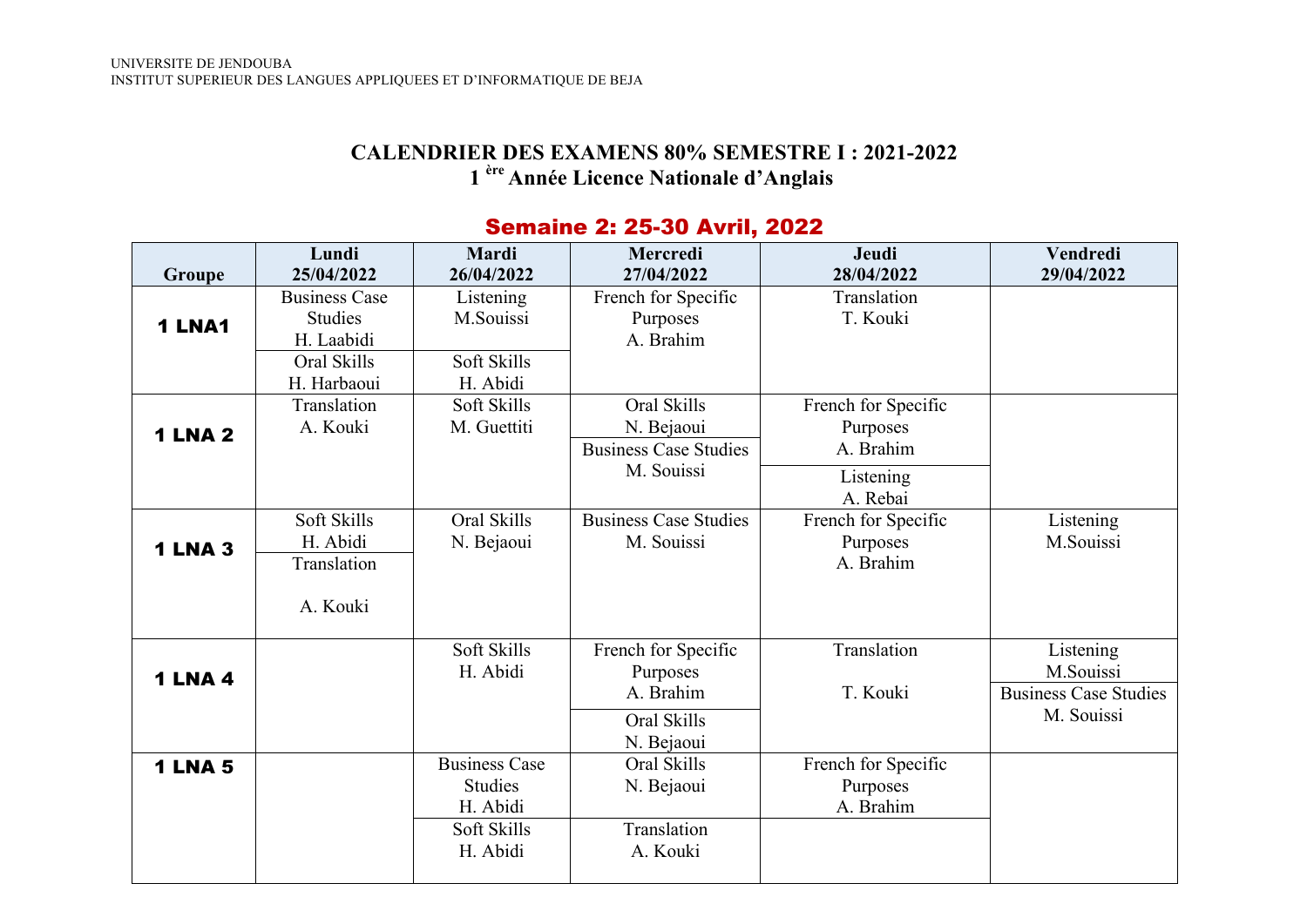#### **CALENDRIER DES EXAMENS 80% SEMESTRE I : 2021-2022 1 ère Année Licence Nationale d'Anglais**

#### **Groupe Lundi 25/04/2022 Mardi 26/04/2022 Mercredi 27/04/2022 Jeudi 28/04/2022 Vendredi 29/04/2022** 1 LNA1 Business Case **Studies** H. Laabidi Listening M.Souissi French for Specific Purposes A. Brahim **Translation** T. Kouki Oral Skills H. Harbaoui Soft Skills H. Abidi 1 LNA 2 **Translation** A. Kouki Soft Skills M. Guettiti Oral Skills N. Bejaoui French for Specific Purposes Business Case Studies A. Brahim M. Souissi Listening A. Rebai 1 LNA 3 Soft Skills H. Abidi Oral Skills N. Bejaoui Business Case Studies M. Souissi French for Specific Purposes A. Brahim Listening M.Souissi Translation A. Kouki 1 LNA 4 Soft Skills H. Abidi French for Specific Purposes A. Brahim **Translation** T. Kouki Listening M.Souissi Business Case Studies Oral Skills M. Souissi N. Bejaoui 1 LNA 5 Business Case **Studies** H. Abidi Oral Skills N. Bejaoui French for Specific Purposes A. Brahim Soft Skills H. Abidi **Translation** A. Kouki

#### Semaine 2: 25-30 Avril, 2022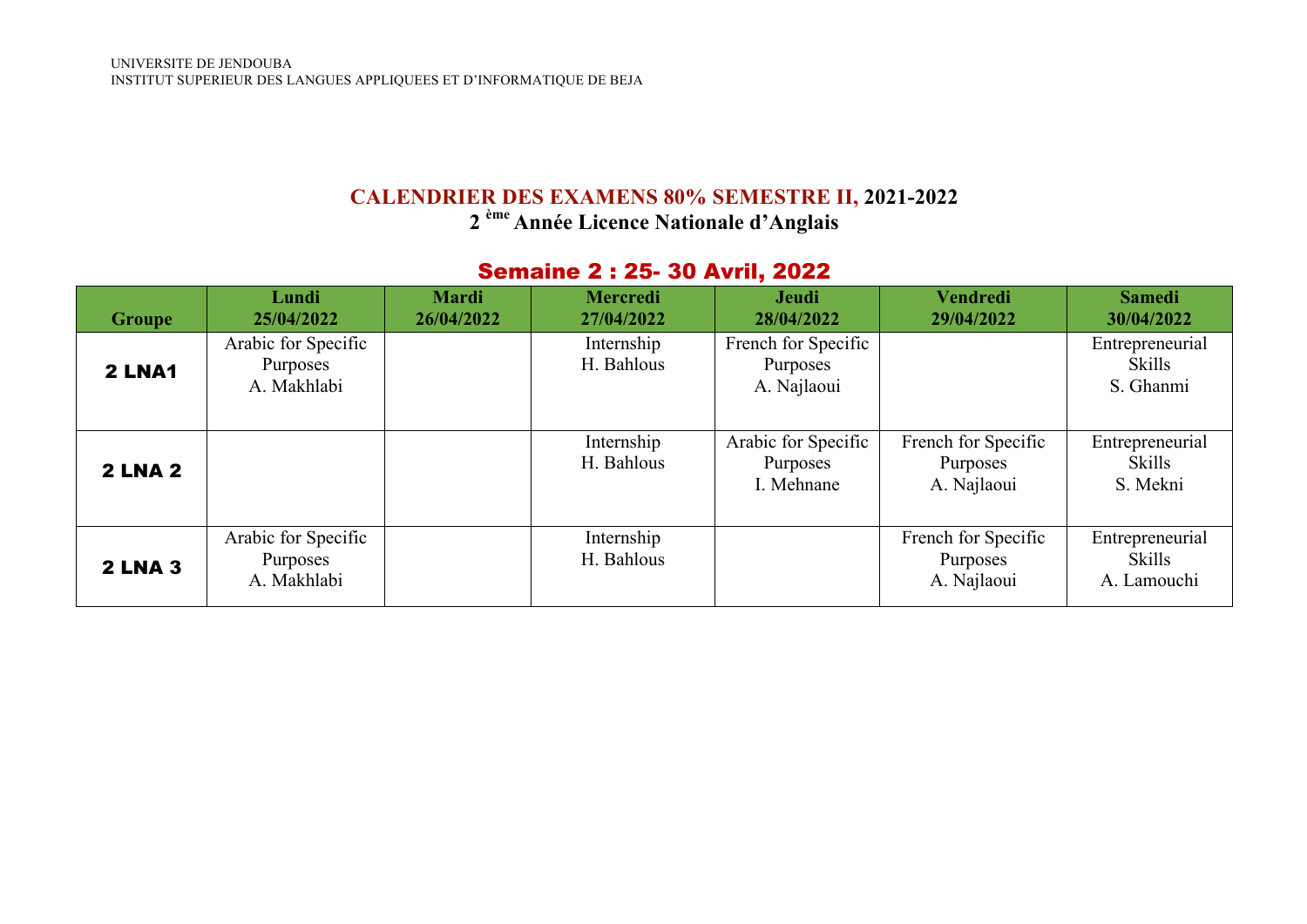# **CALENDRIER DES EXAMENS 80% SEMESTRE II, 2021-2022**

**2 ème Année Licence Nationale d'Anglais**

# Semaine 2 : 25- 30 Avril, 2022

| Groupe         | Lundi<br>25/04/2022                            | <b>Mardi</b><br>26/04/2022 | <b>Mercredi</b><br>27/04/2022 | Jeudi<br>28/04/2022                            | <b>Vendredi</b><br>29/04/2022                  | <b>Samedi</b><br>30/04/2022                     |
|----------------|------------------------------------------------|----------------------------|-------------------------------|------------------------------------------------|------------------------------------------------|-------------------------------------------------|
| 2 LNA1         | Arabic for Specific<br>Purposes<br>A. Makhlabi |                            | Internship<br>H. Bahlous      | French for Specific<br>Purposes<br>A. Najlaoui |                                                | Entrepreneurial<br><b>Skills</b><br>S. Ghanmi   |
| <b>2 LNA 2</b> |                                                |                            | Internship<br>H. Bahlous      | Arabic for Specific<br>Purposes<br>I. Mehnane  | French for Specific<br>Purposes<br>A. Najlaoui | Entrepreneurial<br><b>Skills</b><br>S. Mekni    |
| <b>2 LNA 3</b> | Arabic for Specific<br>Purposes<br>A. Makhlabi |                            | Internship<br>H. Bahlous      |                                                | French for Specific<br>Purposes<br>A. Najlaoui | Entrepreneurial<br><b>Skills</b><br>A. Lamouchi |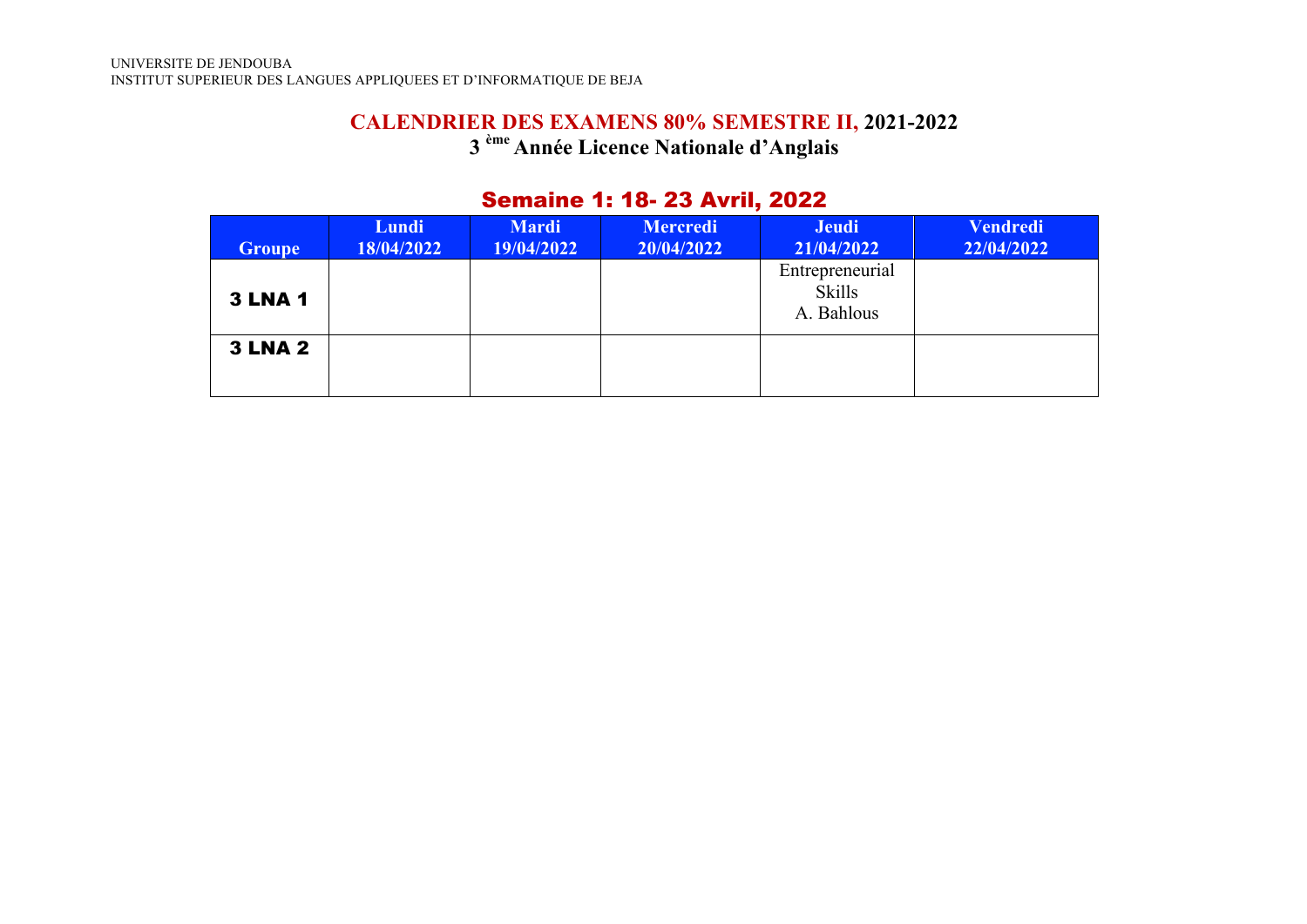### **CALENDRIER DES EXAMENS 80% SEMESTRE II, 2021-2022 3 ème Année Licence Nationale d'Anglais**

# Semaine 1: 18- 23 Avril, 2022

| <b>Groupe</b>  | Lundi<br>18/04/2022 | <b>Mardi</b><br>19/04/2022 | <b>Mercredi</b><br>20/04/2022 | <b>Jeudi</b><br>21/04/2022                     | <b>Vendredi</b><br>22/04/2022 |
|----------------|---------------------|----------------------------|-------------------------------|------------------------------------------------|-------------------------------|
| <b>3 LNA 1</b> |                     |                            |                               | Entrepreneurial<br><b>Skills</b><br>A. Bahlous |                               |
| <b>3 LNA 2</b> |                     |                            |                               |                                                |                               |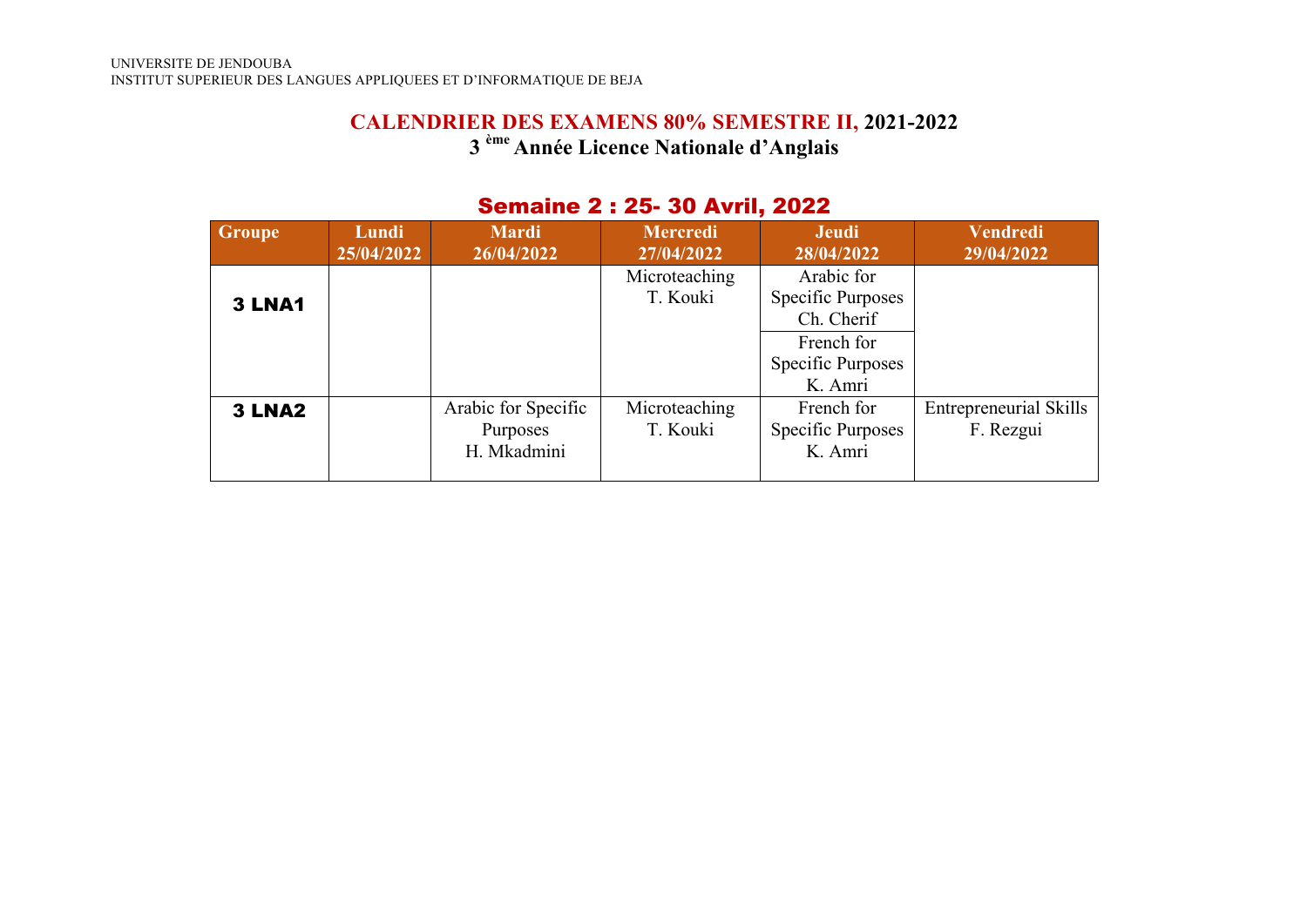### **CALENDRIER DES EXAMENS 80% SEMESTRE II, 2021-2022 3 ème Année Licence Nationale d'Anglais**

| <b>Groupe</b>      | Lundi<br>25/04/2022 | <b>Mardi</b><br>26/04/2022                     | <b>Mercredi</b><br>27/04/2022 | <b>Jeudi</b><br>28/04/2022                                                                  | <b>Vendredi</b><br>29/04/2022              |
|--------------------|---------------------|------------------------------------------------|-------------------------------|---------------------------------------------------------------------------------------------|--------------------------------------------|
| <b>3 LNA1</b>      |                     |                                                | Microteaching<br>T. Kouki     | Arabic for<br>Specific Purposes<br>Ch. Cherif<br>French for<br>Specific Purposes<br>K. Amri |                                            |
| 3 LNA <sub>2</sub> |                     | Arabic for Specific<br>Purposes<br>H. Mkadmini | Microteaching<br>T. Kouki     | French for<br><b>Specific Purposes</b><br>K. Amri                                           | <b>Entrepreneurial Skills</b><br>F. Rezgui |

#### Semaine 2 : 25- 30 Avril, 2022